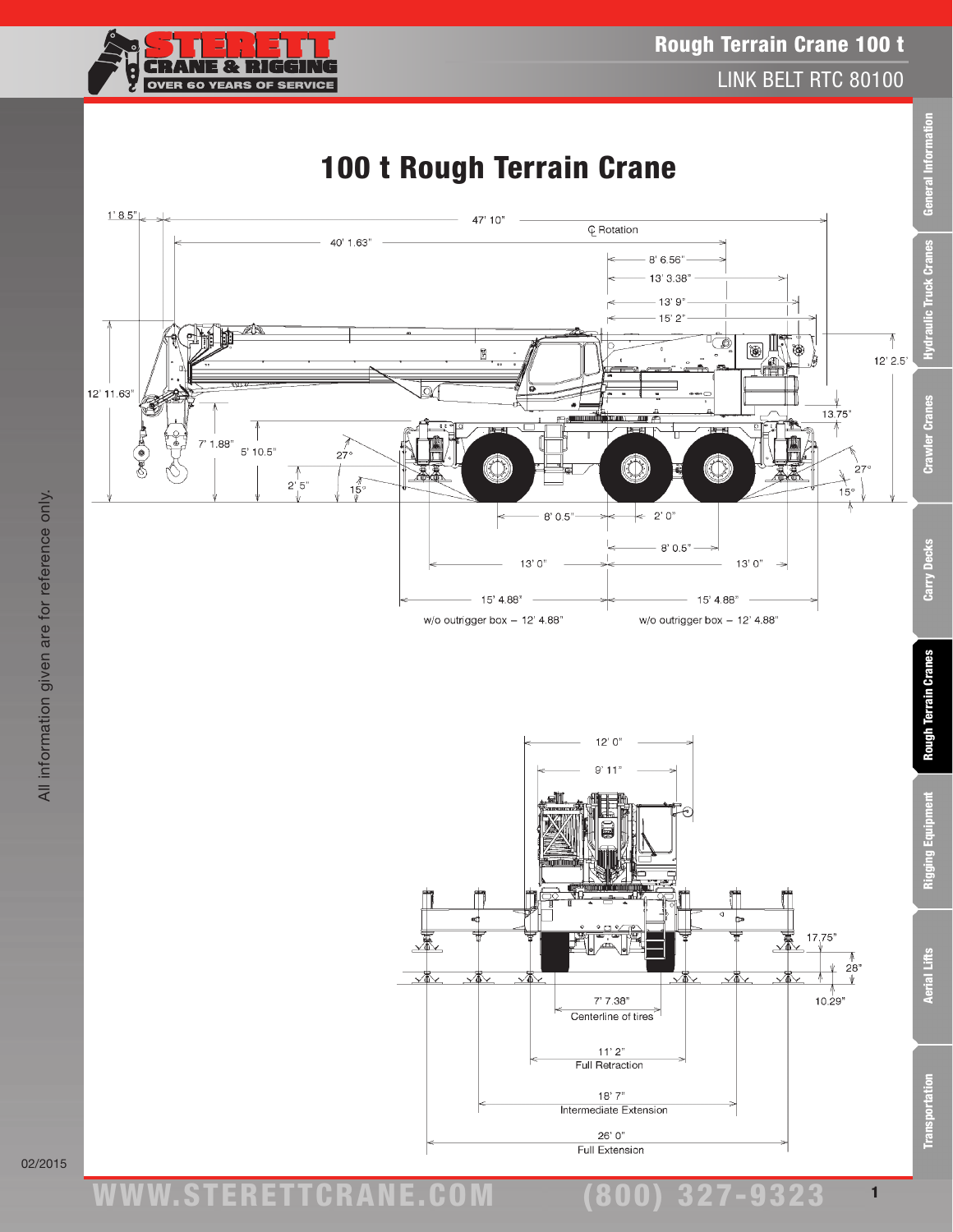



## 02/2015

1

(800) 327-9323

 $26'0''$ Full Extension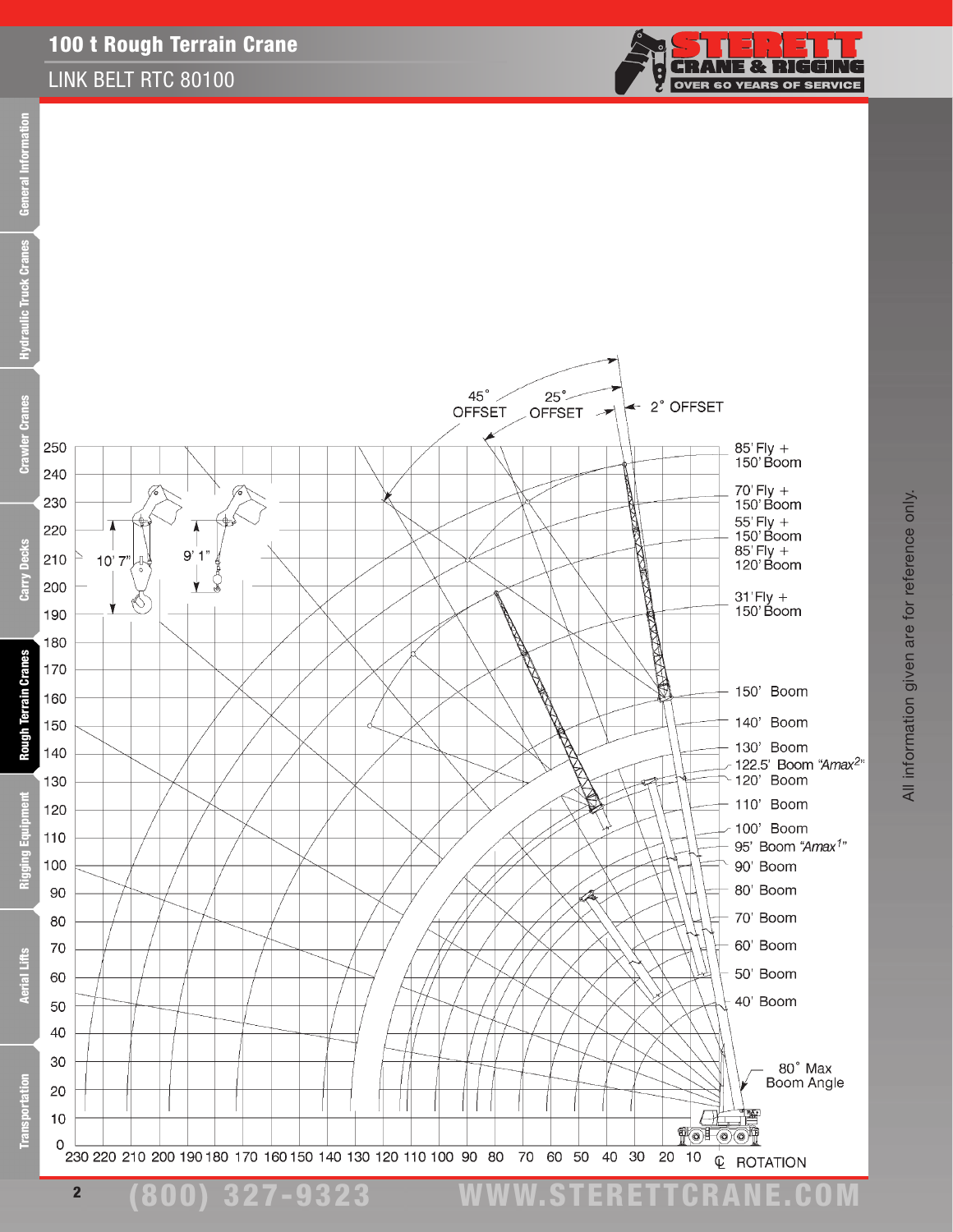## 100 t Rough Terrain Crane

## LINK BELT RTC 80100



(800) 327-9323 www.STERETTCRAnE.Com

All information given are for reference only. All information given are for reference only.

**CRANE & RIGGING** 

**OVER 60 YEARS OF SERVICE** 

Ċ.

2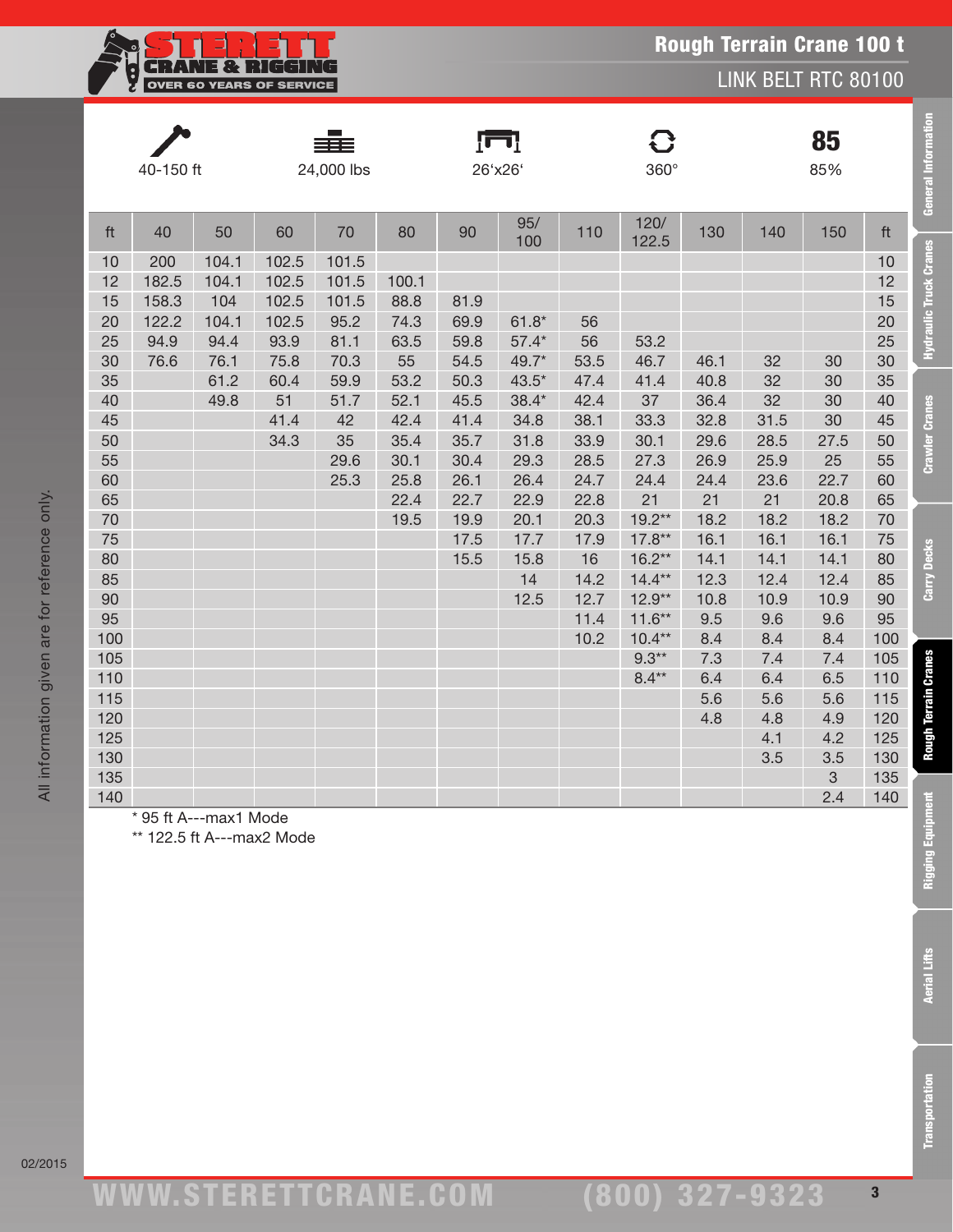| XXX.                            |
|---------------------------------|
| <b>OVER 60 YEARS OF SERVICE</b> |

|                                                                                                                                                                               | 40-150 ft                                      |                                                                                         |                                                                                                             | 24,000 lbs                                                                                  |                                                                                                     |                                                                                                              | Įπ<br>26'x26'                                                                                                                   |                                                                                                                                | $\mathbf{C}$<br>360°                                                                                                                                                       |                                                                                                                                              |                                                                                                                                                      | 85<br>85%                                                                                                                                                      |                                                                                                                                                                               | <b>General Information</b>                                                                                                         |
|-------------------------------------------------------------------------------------------------------------------------------------------------------------------------------|------------------------------------------------|-----------------------------------------------------------------------------------------|-------------------------------------------------------------------------------------------------------------|---------------------------------------------------------------------------------------------|-----------------------------------------------------------------------------------------------------|--------------------------------------------------------------------------------------------------------------|---------------------------------------------------------------------------------------------------------------------------------|--------------------------------------------------------------------------------------------------------------------------------|----------------------------------------------------------------------------------------------------------------------------------------------------------------------------|----------------------------------------------------------------------------------------------------------------------------------------------|------------------------------------------------------------------------------------------------------------------------------------------------------|----------------------------------------------------------------------------------------------------------------------------------------------------------------|-------------------------------------------------------------------------------------------------------------------------------------------------------------------------------|------------------------------------------------------------------------------------------------------------------------------------|
| ft                                                                                                                                                                            | 40                                             | 50                                                                                      | 60                                                                                                          | 70                                                                                          | 80                                                                                                  | 90                                                                                                           | 95/<br>100                                                                                                                      | 110                                                                                                                            | 120/<br>122.5                                                                                                                                                              | 130                                                                                                                                          | 140                                                                                                                                                  | 150                                                                                                                                                            | ft                                                                                                                                                                            |                                                                                                                                    |
| 10<br>12<br>15<br>20<br>25<br>30<br>35<br>40<br>45<br>50<br>55<br>60<br>65<br>70<br>75<br>80<br>85<br>90<br>95<br>100<br>105<br>110<br>115<br>120<br>125<br>130<br>135<br>140 | 200<br>182.5<br>158.3<br>122.2<br>94.9<br>76.6 | 104.1<br>104.1<br>104<br>104.1<br>94.4<br>76.1<br>61.2<br>49.8<br>* 95 ft A---max1 Mode | 102.5<br>102.5<br>102.5<br>102.5<br>93.9<br>75.8<br>60.4<br>51<br>41.4<br>34.3<br>** 122.5 ft A---max2 Mode | 101.5<br>101.5<br>101.5<br>95.2<br>81.1<br>70.3<br>59.9<br>51.7<br>42<br>35<br>29.6<br>25.3 | 100.1<br>88.8<br>74.3<br>63.5<br>55<br>53.2<br>52.1<br>42.4<br>35.4<br>30.1<br>25.8<br>22.4<br>19.5 | 81.9<br>69.9<br>59.8<br>54.5<br>50.3<br>45.5<br>41.4<br>35.7<br>30.4<br>26.1<br>22.7<br>19.9<br>17.5<br>15.5 | $61.8*$<br>$57.4*$<br>49.7*<br>$43.5*$<br>$38.4*$<br>34.8<br>31.8<br>29.3<br>26.4<br>22.9<br>20.1<br>17.7<br>15.8<br>14<br>12.5 | 56<br>56<br>53.5<br>47.4<br>42.4<br>38.1<br>33.9<br>28.5<br>24.7<br>22.8<br>20.3<br>17.9<br>16<br>14.2<br>12.7<br>11.4<br>10.2 | 53.2<br>46.7<br>41.4<br>37<br>33.3<br>30.1<br>27.3<br>24.4<br>21<br>$19.2**$<br>$17.8**$<br>$16.2**$<br>$14.4**$<br>$12.9**$<br>$11.6**$<br>$10.4**$<br>$9.3**$<br>$8.4**$ | 46.1<br>40.8<br>36.4<br>32.8<br>29.6<br>26.9<br>24.4<br>21<br>18.2<br>16.1<br>14.1<br>12.3<br>10.8<br>9.5<br>8.4<br>7.3<br>6.4<br>5.6<br>4.8 | 32<br>32<br>32<br>31.5<br>28.5<br>25.9<br>23.6<br>21<br>18.2<br>16.1<br>14.1<br>12.4<br>10.9<br>9.6<br>8.4<br>7.4<br>6.4<br>5.6<br>4.8<br>4.1<br>3.5 | 30<br>30<br>30<br>30<br>27.5<br>25<br>22.7<br>20.8<br>18.2<br>16.1<br>14.1<br>12.4<br>10.9<br>9.6<br>8.4<br>7.4<br>6.5<br>5.6<br>4.9<br>4.2<br>3.5<br>3<br>2.4 | 10<br>12<br>15<br>20<br>25<br>30<br>35<br>40<br>45<br>50<br>55<br>60<br>65<br>70<br>75<br>80<br>85<br>90<br>95<br>100<br>105<br>110<br>115<br>120<br>125<br>130<br>135<br>140 | <b>Hydraulic Truck Cranes</b><br><b>Crawler Cranes</b><br><b>Carry Decks</b><br><b>Rough Terrain Cranes</b><br>Ē<br>Rigging Equipn |
|                                                                                                                                                                               |                                                |                                                                                         |                                                                                                             |                                                                                             |                                                                                                     |                                                                                                              |                                                                                                                                 |                                                                                                                                |                                                                                                                                                                            |                                                                                                                                              |                                                                                                                                                      |                                                                                                                                                                |                                                                                                                                                                               | <b>Aerial Lifts</b>                                                                                                                |
|                                                                                                                                                                               |                                                |                                                                                         |                                                                                                             |                                                                                             |                                                                                                     |                                                                                                              |                                                                                                                                 |                                                                                                                                |                                                                                                                                                                            |                                                                                                                                              |                                                                                                                                                      |                                                                                                                                                                |                                                                                                                                                                               |                                                                                                                                    |
|                                                                                                                                                                               |                                                |                                                                                         |                                                                                                             |                                                                                             |                                                                                                     |                                                                                                              |                                                                                                                                 |                                                                                                                                |                                                                                                                                                                            |                                                                                                                                              |                                                                                                                                                      |                                                                                                                                                                |                                                                                                                                                                               | ansportation                                                                                                                       |

02/2015